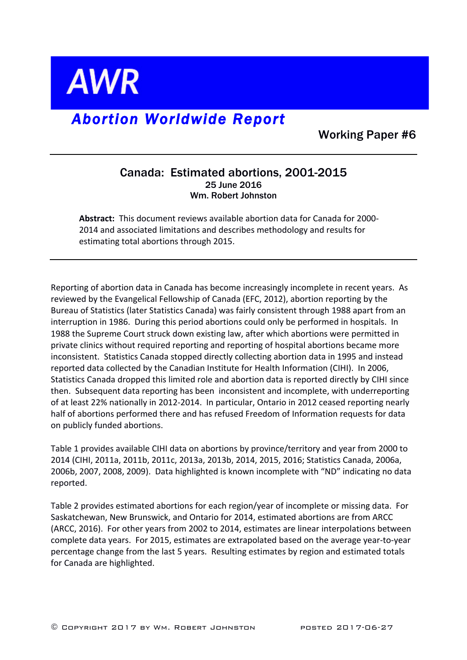**AWR** 

## *Abortion Worldwide Report*

Working Paper #6

## Canada: Estimated abortions, 2001-2015 25 June 2016 Wm. Robert Johnston

**Abstract:** This document reviews available abortion data for Canada for 2000-2014 and associated limitations and describes methodology and results for estimating total abortions through 2015.

Reporting of abortion data in Canada has become increasingly incomplete in recent years. As reviewed by the Evangelical Fellowship of Canada (EFC, 2012), abortion reporting by the Bureau of Statistics (later Statistics Canada) was fairly consistent through 1988 apart from an interruption in 1986. During this period abortions could only be performed in hospitals. In 1988 the Supreme Court struck down existing law, after which abortions were permitted in private clinics without required reporting and reporting of hospital abortions became more inconsistent. Statistics Canada stopped directly collecting abortion data in 1995 and instead reported data collected by the Canadian Institute for Health Information (CIHI). In 2006, Statistics Canada dropped this limited role and abortion data is reported directly by CIHI since then. Subsequent data reporting has been inconsistent and incomplete, with underreporting of at least 22% nationally in 2012-2014. In particular, Ontario in 2012 ceased reporting nearly half of abortions performed there and has refused Freedom of Information requests for data on publicly funded abortions.

Table 1 provides available CIHI data on abortions by province/territory and year from 2000 to 2014 (CIHI, 2011a, 2011b, 2011c, 2013a, 2013b, 2014, 2015, 2016; Statistics Canada, 2006a, 2006b, 2007, 2008, 2009). Data highlighted is known incomplete with "ND" indicating no data reported.

Table 2 provides estimated abortions for each region/year of incomplete or missing data. For Saskatchewan, New Brunswick, and Ontario for 2014, estimated abortions are from ARCC (ARCC, 2016). For other years from 2002 to 2014, estimates are linear interpolations between complete data years. For 2015, estimates are extrapolated based on the average year-to-year percentage change from the last 5 years. Resulting estimates by region and estimated totals for Canada are highlighted.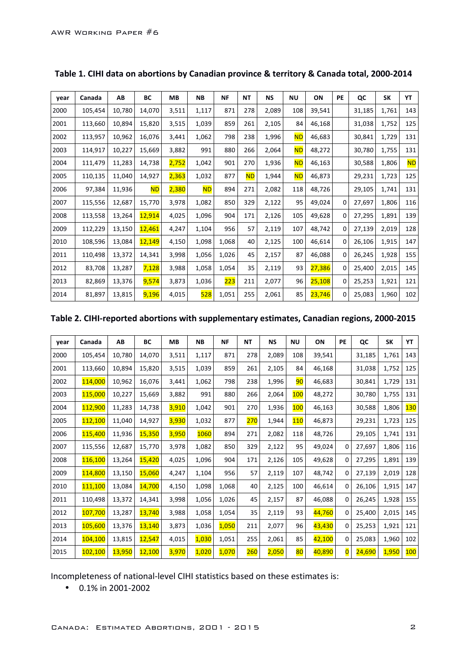| year | Canada  | АB     | ВC        | MВ    | <b>NB</b>  | <b>NF</b>  | <b>NT</b> | <b>NS</b> | ΝU        | ON     | <b>PE</b> | QC     | SK    | YT              |
|------|---------|--------|-----------|-------|------------|------------|-----------|-----------|-----------|--------|-----------|--------|-------|-----------------|
| 2000 | 105,454 | 10,780 | 14,070    | 3,511 | 1,117      | 871        | 278       | 2,089     | 108       | 39,541 |           | 31,185 | 1,761 | 143             |
| 2001 | 113,660 | 10,894 | 15,820    | 3,515 | 1,039      | 859        | 261       | 2,105     | 84        | 46,168 |           | 31,038 | 1,752 | 125             |
| 2002 | 113,957 | 10,962 | 16,076    | 3,441 | 1,062      | 798        | 238       | 1,996     | <b>ND</b> | 46,683 |           | 30,841 | 1,729 | 131             |
| 2003 | 114,917 | 10,227 | 15,669    | 3,882 | 991        | 880        | 266       | 2,064     | <b>ND</b> | 48,272 |           | 30,780 | 1,755 | 131             |
| 2004 | 111,479 | 11,283 | 14,738    | 2,752 | 1,042      | 901        | 270       | 1,936     | <b>ND</b> | 46,163 |           | 30,588 | 1,806 | <mark>ND</mark> |
| 2005 | 110,135 | 11,040 | 14,927    | 2,363 | 1,032      | 877        | <b>ND</b> | 1,944     | <b>ND</b> | 46,873 |           | 29,231 | 1,723 | 125             |
| 2006 | 97,384  | 11,936 | <b>ND</b> | 2,380 | <b>ND</b>  | 894        | 271       | 2,082     | 118       | 48,726 |           | 29,105 | 1,741 | 131             |
| 2007 | 115,556 | 12,687 | 15,770    | 3,978 | 1,082      | 850        | 329       | 2,122     | 95        | 49,024 | 0         | 27,697 | 1,806 | 116             |
| 2008 | 113,558 | 13,264 | 12,914    | 4,025 | 1,096      | 904        | 171       | 2,126     | 105       | 49,628 | 0         | 27,295 | 1,891 | 139             |
| 2009 | 112,229 | 13,150 | 12,461    | 4,247 | 1,104      | 956        | 57        | 2,119     | 107       | 48,742 | 0         | 27,139 | 2,019 | 128             |
| 2010 | 108,596 | 13,084 | 12,149    | 4,150 | 1,098      | 1,068      | 40        | 2,125     | 100       | 46,614 | 0         | 26,106 | 1,915 | 147             |
| 2011 | 110,498 | 13,372 | 14,341    | 3,998 | 1,056      | 1,026      | 45        | 2,157     | 87        | 46,088 | 0         | 26,245 | 1,928 | 155             |
| 2012 | 83,708  | 13,287 | 7,128     | 3,988 | 1,058      | 1,054      | 35        | 2,119     | 93        | 27,386 | 0         | 25,400 | 2,015 | 145             |
| 2013 | 82,869  | 13,376 | 9,574     | 3,873 | 1,036      | <b>223</b> | 211       | 2,077     | 96        | 25,108 | 0         | 25,253 | 1,921 | 121             |
| 2014 | 81,897  | 13,815 | 9,196     | 4,015 | <b>528</b> | 1,051      | 255       | 2,061     | 85        | 23,746 | 0         | 25,083 | 1,960 | 102             |

**Table 1. CIHI data on abortions by Canadian province & territory & Canada total, 2000-2014**

## Table 2. CIHI-reported abortions with supplementary estimates, Canadian regions, 2000-2015

| year | Canada  | AB     | BС     | <b>MB</b> | NΒ    | ΝF    | <b>NT</b> | <b>NS</b> | ΝU  | ON     | PE                      | QC     | <b>SK</b> | YT         |
|------|---------|--------|--------|-----------|-------|-------|-----------|-----------|-----|--------|-------------------------|--------|-----------|------------|
| 2000 | 105,454 | 10,780 | 14,070 | 3,511     | 1,117 | 871   | 278       | 2,089     | 108 | 39,541 |                         | 31,185 | 1,761     | 143        |
| 2001 | 113,660 | 10,894 | 15,820 | 3,515     | 1,039 | 859   | 261       | 2,105     | 84  | 46,168 |                         | 31,038 | 1,752     | 125        |
| 2002 | 114,000 | 10,962 | 16,076 | 3,441     | 1,062 | 798   | 238       | 1,996     | 90  | 46,683 |                         | 30,841 | 1,729     | 131        |
| 2003 | 115,000 | 10,227 | 15,669 | 3,882     | 991   | 880   | 266       | 2,064     | 100 | 48,272 |                         | 30,780 | 1,755     | 131        |
| 2004 | 112,900 | 11,283 | 14,738 | 3,910     | 1,042 | 901   | 270       | 1,936     | 100 | 46,163 |                         | 30,588 | 1,806     | <b>130</b> |
| 2005 | 112,100 | 11,040 | 14,927 | 3,930     | 1,032 | 877   | 270       | 1,944     | 110 | 46,873 |                         | 29,231 | 1,723     | 125        |
| 2006 | 115,400 | 11,936 | 15,350 | 3,950     | 1060  | 894   | 271       | 2,082     | 118 | 48,726 |                         | 29,105 | 1,741     | 131        |
| 2007 | 115,556 | 12,687 | 15,770 | 3,978     | 1,082 | 850   | 329       | 2,122     | 95  | 49,024 | 0                       | 27,697 | 1,806     | 116        |
| 2008 | 116,100 | 13,264 | 15,420 | 4,025     | 1,096 | 904   | 171       | 2,126     | 105 | 49,628 | 0                       | 27,295 | 1,891     | 139        |
| 2009 | 114,800 | 13,150 | 15,060 | 4,247     | 1,104 | 956   | 57        | 2,119     | 107 | 48,742 | 0                       | 27,139 | 2,019     | 128        |
| 2010 | 111,100 | 13,084 | 14,700 | 4,150     | 1,098 | 1,068 | 40        | 2,125     | 100 | 46,614 | 0                       | 26,106 | 1,915     | 147        |
| 2011 | 110,498 | 13,372 | 14,341 | 3,998     | 1,056 | 1,026 | 45        | 2,157     | 87  | 46,088 | 0                       | 26,245 | 1,928     | 155        |
| 2012 | 107,700 | 13,287 | 13,740 | 3,988     | 1,058 | 1,054 | 35        | 2,119     | 93  | 44,760 | 0                       | 25,400 | 2,015     | 145        |
| 2013 | 105,600 | 13,376 | 13,140 | 3,873     | 1,036 | 1,050 | 211       | 2,077     | 96  | 43,430 | 0                       | 25,253 | 1,921     | 121        |
| 2014 | 104,100 | 13,815 | 12,547 | 4,015     | 1,030 | 1,051 | 255       | 2,061     | 85  | 42,100 | 0                       | 25,083 | 1,960     | 102        |
| 2015 | 102,100 | 13,950 | 12,100 | 3,970     | 1,020 | 1,070 | 260       | 2,050     | 80  | 40,890 | $\overline{\mathbf{0}}$ | 24,690 | 1,950     | 100        |

Incompleteness of national-level CIHI statistics based on these estimates is:

 $\cdot$  0.1% in 2001-2002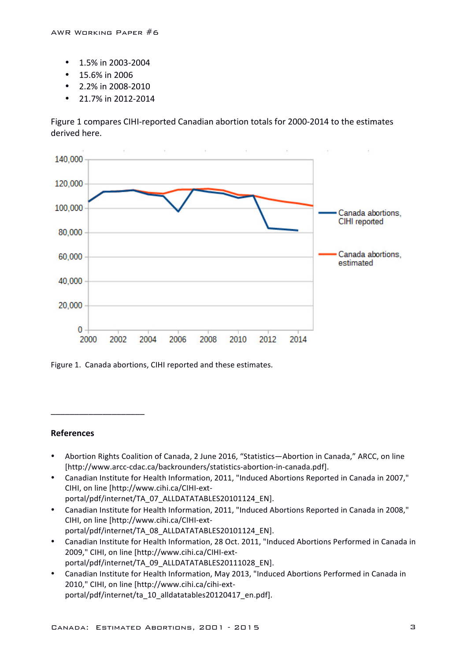- $\cdot$  1.5% in 2003-2004
- $\cdot$  15.6% in 2006
- 2.2% in 2008-2010
- 21.7% in 2012-2014

Figure 1 compares CIHI-reported Canadian abortion totals for 2000-2014 to the estimates derived here.



Figure 1. Canada abortions, CIHI reported and these estimates.

## **References**

\_\_\_\_\_\_\_\_\_\_\_\_\_\_\_\_\_\_\_\_

- Abortion Rights Coalition of Canada, 2 June 2016, "Statistics—Abortion in Canada," ARCC, on line [http://www.arcc-cdac.ca/backrounders/statistics-abortion-in-canada.pdf].
- Canadian Institute for Health Information, 2011, "Induced Abortions Reported in Canada in 2007," CIHI, on line [http://www.cihi.ca/CIHI-extportal/pdf/internet/TA\_07\_ALLDATATABLES20101124\_EN].
- Canadian Institute for Health Information, 2011, "Induced Abortions Reported in Canada in 2008," CIHI, on line [http://www.cihi.ca/CIHI-extportal/pdf/internet/TA\_08\_ALLDATATABLES20101124\_EN].
- Canadian Institute for Health Information, 28 Oct. 2011, "Induced Abortions Performed in Canada in 2009," CIHI, on line [http://www.cihi.ca/CIHI-extportal/pdf/internet/TA\_09\_ALLDATATABLES20111028\_EN].
- Canadian Institute for Health Information, May 2013, "Induced Abortions Performed in Canada in 2010," CIHI, on line [http://www.cihi.ca/cihi-extportal/pdf/internet/ta\_10\_alldatatables20120417\_en.pdf].